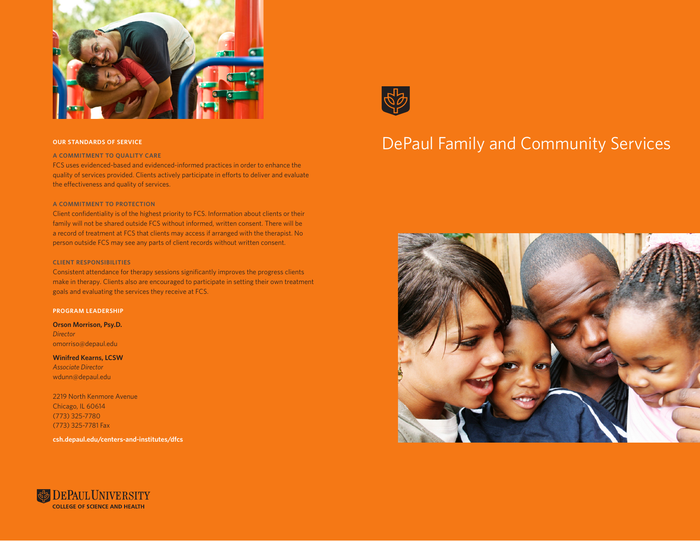

#### **A COMMITMENT TO QUALITY CARE**

FCS uses evidenced-based and evidenced-informed practices in order to enhance the quality of services provided. Clients actively participate in efforts to deliver and evaluate the effectiveness and quality of services.

#### **A COMMITMENT TO PROTECTION**

Client confidentiality is of the highest priority to FCS. Information about clients or their family will not be shared outside FCS without informed, written consent. There will be a record of treatment at FCS that clients may access if arranged with the therapist. No person outside FCS may see any parts of client records without written consent.

#### **CLIENT RESPONSIBILITIES**

Consistent attendance for therapy sessions significantly improves the progress clients make in therapy. Clients also are encouraged to participate in setting their own treatment goals and evaluating the services they receive at FCS.

#### **PROGRAM LEADERSHIP**

**Orson Morrison, Psy.D.** *Director* omorriso@depaul.edu

**Winifred Kearns, LCSW**  *Associate Director* wdunn@depaul.edu

2219 North Kenmore Avenue Chicago, IL 60614 (773) 325-7780 (773) 325-7781 Fax

**csh.depaul.edu/centers-and-institutes/dfcs**



# OUR STANDARDS OF SERVICE **SERVICE** SERVICES **OUR STANDARDS OF SERVICES**